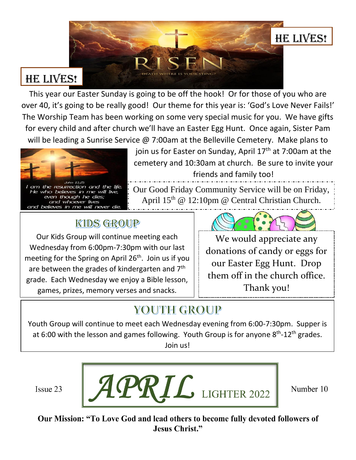

# **HE LIVES!**

This year our Easter Sunday is going to be off the hook! Or for those of you who are over 40, it's going to be really good! Our theme for this year is: 'God's Love Never Fails!' The Worship Team has been working on some very special music for you. We have gifts for every child and after church we'll have an Easter Egg Hunt. Once again, Sister Pam will be leading a Sunrise Service @ 7:00am at the Belleville Cemetery. Make plans to



join us for Easter on Sunday, April  $17<sup>th</sup>$  at 7:00am at the cemetery and 10:30am at church. Be sure to invite your friends and family too!

Our Good Friday Community Service will be on Friday, April 15<sup>th</sup> @ 12:10pm @ Central Christian Church.  $\ddot{\phantom{0}}$ 

## KIDS GROUP

Our Kids Group will continue meeting each Wednesday from 6:00pm-7:30pm with our last meeting for the Spring on April  $26<sup>th</sup>$ . Join us if you are between the grades of kindergarten and 7<sup>th</sup> grade. Each Wednesday we enjoy a Bible lesson, games, prizes, memory verses and snacks.

We would appreciate any donations of candy or eggs for our Easter Egg Hunt. Drop them off in the church office. Thank you!

# YOUTH GROUP

Youth Group will continue to meet each Wednesday evening from 6:00-7:30pm. Supper is at 6:00 with the lesson and games following. Youth Group is for anyone 8<sup>th</sup>-12<sup>th</sup> grades. Join us!

Issue 23



Number 10

Our Mission: "To Love God and lead others to become fully devoted followers of **Jesus Christ."**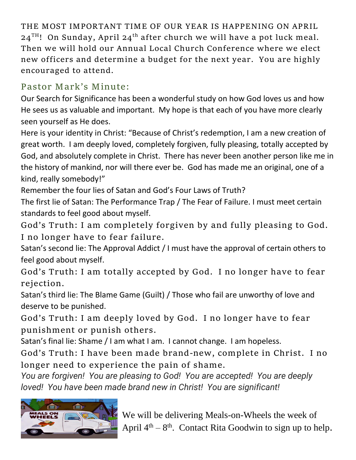**THE MOST IMPORTANT TIME OF OUR YEAR IS HAPPENING ON APRIL 24TH! On Sunday, April 24th after church we will have a pot luck meal. Then we will hold our Annual Local Church Conference where we elect new officers and determine a budget for the next year. You are highly encouraged to attend.** 

### **Pastor Mark's Minute:**

Our Search for Significance has been a wonderful study on how God loves us and how He sees us as valuable and important. My hope is that each of you have more clearly seen yourself as He does.

Here is your identity in Christ: "Because of Christ's redemption, I am a new creation of great worth. I am deeply loved, completely forgiven, fully pleasing, totally accepted by God, and absolutely complete in Christ. There has never been another person like me in the history of mankind, nor will there ever be. God has made me an original, one of a kind, really somebody!"

Remember the four lies of Satan and God's Four Laws of Truth?

The first lie of Satan: The Performance Trap / The Fear of Failure. I must meet certain standards to feel good about myself.

**God's Truth: I am completely forgiven by and fully pleasing to God. I no longer have to fear failure.** 

Satan's second lie: The Approval Addict / I must have the approval of certain others to feel good about myself.

**God's Truth: I am totally accepted by God. I no longer have to fear rejection.**

Satan's third lie: The Blame Game (Guilt) / Those who fail are unworthy of love and deserve to be punished.

**God's Truth: I am deeply loved by God. I no longer have to fear punishment or punish others.** 

Satan's final lie: Shame / I am what I am. I cannot change. I am hopeless.

**God's Truth: I have been made brand-new, complete in Christ. I no longer need to experience the pain of shame.** 

*You are forgiven! You are pleasing to God! You are accepted! You are deeply loved! You have been made brand new in Christ! You are significant!* 



We will be delivering Meals-on-Wheels the week of April  $4<sup>th</sup> - 8<sup>th</sup>$ . Contact Rita Goodwin to sign up to help.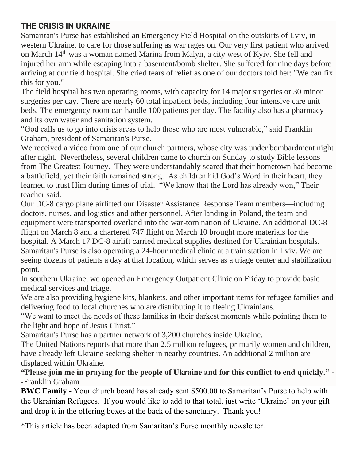#### **THE CRISIS IN UKRAINE**

Samaritan's Purse has established an Emergency Field Hospital on the outskirts of Lviv, in western Ukraine, to care for those suffering as war rages on. Our very first patient who arrived on March 14th was a woman named Marina from Malyn, a city west of Kyiv. She fell and injured her arm while escaping into a basement/bomb shelter. She suffered for nine days before arriving at our field hospital. She cried tears of relief as one of our doctors told her: "We can fix this for you."

The field hospital has two operating rooms, with capacity for 14 major surgeries or 30 minor surgeries per day. There are nearly 60 total inpatient beds, including four intensive care unit beds. The emergency room can handle 100 patients per day. The facility also has a pharmacy and its own water and sanitation system.

"God calls us to go into crisis areas to help those who are most vulnerable," said Franklin Graham, president of Samaritan's Purse. "

We received a video from one of our church partners, whose city was under bombardment night after night. Nevertheless, several children came to church on Sunday to study Bible lessons from The Greatest Journey. They were understandably scared that their hometown had become a battlefield, yet their faith remained strong. As children hid God's Word in their heart, they learned to trust Him during times of trial. "We know that the Lord has already won," Their teacher said.

Our DC-8 cargo plane airlifted our Disaster Assistance Response Team members—including doctors, nurses, and logistics and other personnel. After landing in Poland, the team and equipment were transported overland into the war-torn nation of Ukraine. An additional DC-8 flight on March 8 and a chartered 747 flight on March 10 brought more materials for the hospital. A March 17 DC-8 airlift carried medical supplies destined for Ukrainian hospitals. Samaritan's Purse is also operating a 24-hour medical clinic at a train station in Lviv. We are seeing dozens of patients a day at that location, which serves as a triage center and stabilization point.

In southern Ukraine, we opened an Emergency Outpatient Clinic on Friday to provide basic medical services and triage.

We are also providing hygiene kits, blankets, and other important items for refugee families and delivering food to local churches who are distributing it to fleeing Ukrainians.

"We want to meet the needs of these families in their darkest moments while pointing them to the light and hope of Jesus Christ."

Samaritan's Purse has a partner network of 3,200 churches inside Ukraine.

The United Nations reports that more than 2.5 million refugees, primarily women and children, have already left Ukraine seeking shelter in nearby countries. An additional 2 million are displaced within Ukraine.

#### **"Please join me in praying for the people of Ukraine and for this conflict to end quickly." - -**Franklin Graham

**BWC Family** - Your church board has already sent \$500.00 to Samaritan's Purse to help with the Ukrainian Refugees. If you would like to add to that total, just write 'Ukraine' on your gift and drop it in the offering boxes at the back of the sanctuary. Thank you!

\*This article has been adapted from Samaritan's Purse monthly newsletter.